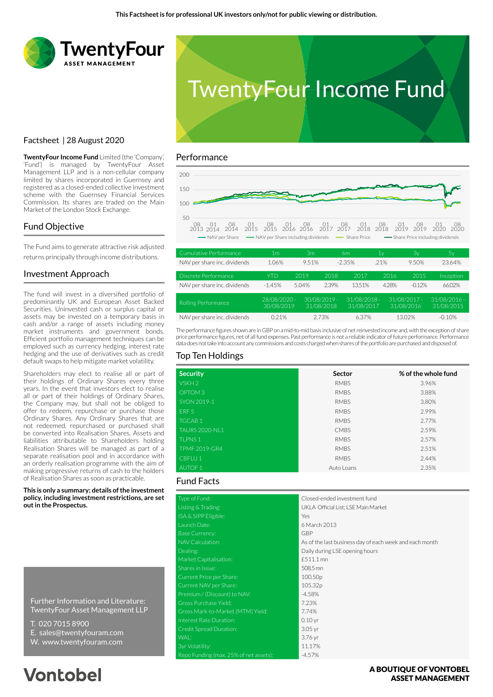



**TwentyFour Income Fund** Limited (the 'Company', 'Fund') is managed by TwentyFour Asset Management LLP and is a non-cellular company limited by shares incorporated in Guernsey and registered as a closed-ended collective investment scheme with the Guernsey Financial Services Commission. Its shares are traded on the Main Market of the London Stock Exchange.

### Fund Objective

The Fund aims to generate attractive risk adjusted returns principally through income distributions.

### Investment Approach

Factsheet | 28 August 2020

The fund will invest in a diversified portfolio of predominantly UK and European Asset Backed Securities. Uninvested cash or surplus capital or assets may be invested on a temporary basis in cash and/or a range of assets including money market instruments and government bonds. Efficient portfolio management techniques can be employed such as currency hedging, interest rate hedging and the use of derivatives such as credit default swaps to help mitigate market volatility.

Shareholders may elect to realise all or part of their holdings of Ordinary Shares every three years. In the event that investors elect to realise all or part of their holdings of Ordinary Shares, the Company may, but shall not be obliged to offer to redeem, repurchase or purchase those Ordinary Shares. Any Ordinary Shares that are not redeemed, repurchased or purchased shall be converted into Realisation Shares. Assets and liabilities attributable to Shareholders holding Realisation Shares will be managed as part of a separate realisation pool and in accordance with an orderly realisation programme with the aim of making progressive returns of cash to the holders of Realisation Shares as soon as practicable.

**This is only a summary; details of the investment policy, including investment restrictions, are set out in the Prospectus.**

Further Information and Literature: TwentyFour Asset Management LLP

- T. 020 7015 8900
- E. sales@twentyfouram.com
- W. www.twentyfouram.com

# **Vontobel**

#### Performance



| Cumulative Performance       | 1m                         | Зm    |                              | 6m                           | 1٧    | Зγ                           | 5у                           |
|------------------------------|----------------------------|-------|------------------------------|------------------------------|-------|------------------------------|------------------------------|
| NAV per share inc. dividends | 1.06%                      | 9.51% |                              | $-2.35%$                     | .21%  | 9.50%                        | 23.64%                       |
| Discrete Performance         | <b>YTD</b>                 | 2019  | 2018                         | 2017                         | 2016  | 2015                         | Inception                    |
| NAV per share inc. dividends | $-1.45%$                   | 5.04% | 2.39%                        | 13.51%                       | 4.28% | $-0.12%$                     | 66.02%                       |
| Rolling Performance          | 28/08/2020 -<br>30/08/2019 |       | $30/08/2019 -$<br>31/08/2018 | $31/08/2018 -$<br>31/08/2017 |       | $31/08/2017 -$<br>31/08/2016 | $31/08/2016 -$<br>31/08/2015 |
| NAV per share inc. dividends | 0.21%                      |       | 2.73%                        | 6.37%                        |       | 13.02%                       | $-0.10%$                     |

The performance figures shown are in GBP on a mid-to-mid basis inclusive of net reinvested income and, with the exception of share price performance figures, net of all fund expenses. Past performance is not a reliable indicator of future performance. Performance data does not take into account any commissions and costs charged when shares of the portfolio are purchased and disposed of.

### Top Ten Holdings

| <b>Security</b>       | Sector      | % of the whole fund |
|-----------------------|-------------|---------------------|
| VSKH <sub>2</sub>     | <b>RMBS</b> | 3.96%               |
| OPTOM <sub>3</sub>    | <b>RMBS</b> | 3.88%               |
| SYON 2019-1           | <b>RMBS</b> | 3.80%               |
| ERF <sub>5</sub>      | <b>RMBS</b> | 2.99%               |
| <b>TGCAB1</b>         | <b>RMBS</b> | 2.77%               |
| <b>TAURS 2020-NL1</b> | <b>CMBS</b> | 2.59%               |
| <b>TLPNS1</b>         | <b>RMBS</b> | 2.57%               |
| <b>TPMF 2019-GR4</b>  | <b>RMBS</b> | 2.51%               |
| CBFLU <sub>1</sub>    | <b>RMBS</b> | 2.44%               |
| <b>AUTOF 1</b>        | Auto Loans  | 2.35%               |

## Fund Facts

| Type of Fund:                          | Closed-ended investment fund                            |
|----------------------------------------|---------------------------------------------------------|
| Listing & Trading:                     | UKLA Official List; LSE Main Market                     |
| ISA & SIPP Eligible:                   | Yes                                                     |
| Launch Date:                           | 6 March 2013                                            |
| <b>Base Currency:</b>                  | GBP                                                     |
| NAV Calculation:                       | As of the last business day of each week and each month |
| Dealing:                               | Daily during LSE opening hours                          |
| Market Capitalisation:                 | £511.1 mn                                               |
| Shares in Issue:                       | 508.5 mn                                                |
| Current Price per Share:               | 100.50p                                                 |
| Current NAV per Share:                 | 105.32p                                                 |
| Premium / (Discount) to NAV:           | $-4.58%$                                                |
| Gross Purchase Yield:                  | 7.23%                                                   |
| Gross Mark-to-Market (MTM) Yield:      | 7.74%                                                   |
| Interest Rate Duration:                | $0.10$ yr                                               |
| Credit Spread Duration:                | $3.05$ yr                                               |
| WAL:                                   | 3.76 yr                                                 |
| 3yr Volatility:                        | 11.17%                                                  |
| Repo Funding (max. 25% of net assets): | $-4.57%$                                                |

### A BOUTIOUE OF VONTOBEL **ASSET MANAGEMENT**